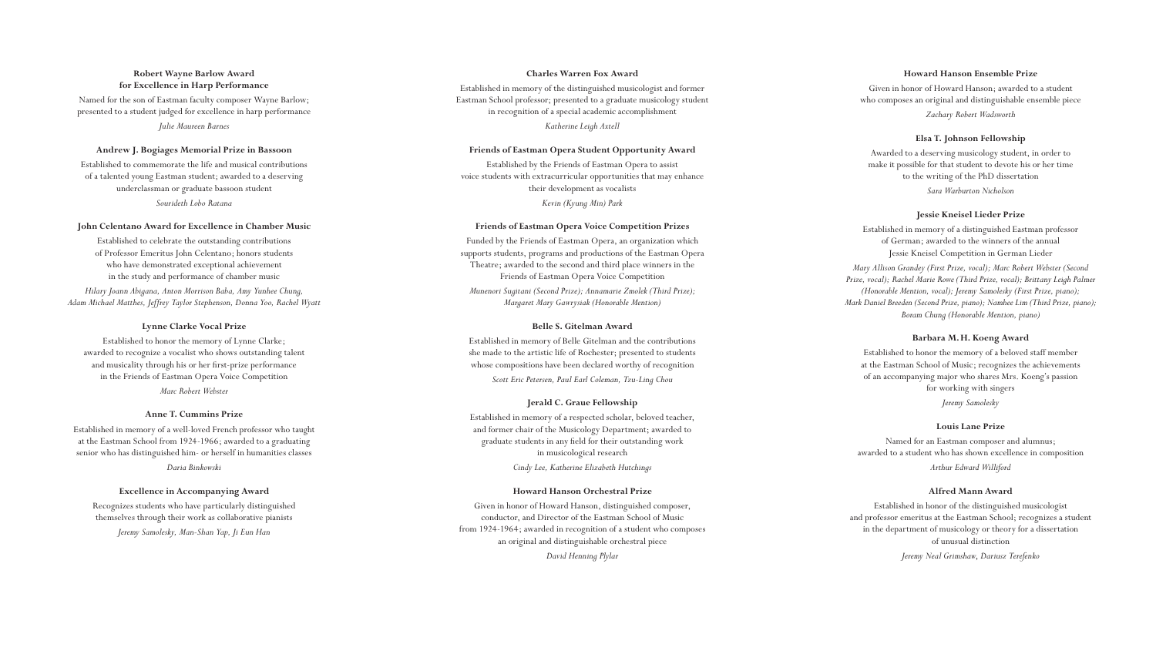# **Robert Wayne Barlow Award for Excellence in Harp Performance**

Named for the son of Eastman faculty composer Wayne Barlow; presented to a student judged for excellence in harp performance *Julie Maureen Barnes*

# **Andrew J. Bogiages Memorial Prize in Bassoon**

Established to commemorate the life and musical contributions of a talented young Eastman student; awarded to a deserving underclassman or graduate bassoon student *Sourideth Lobo Ratana*

# **John Celentano Award for Excellence in Chamber Music**

Established to celebrate the outstanding contributions of Professor Emeritus John Celentano; honors students who have demonstrated exceptional achievement in the study and performance of chamber music

*Hilary Joann Abigana, Anton Morrison Baba, Amy Yunhee Chung, Adam Michael Matthes, Jeffrey Taylor Stephenson, Donna Yoo, Rachel Wyatt*

# **Lynne Clarke Vocal Prize**

Established to honor the memory of Lynne Clarke; awarded to recognize a vocalist who shows outstanding talent and musicality through his or her first-prize performance in the Friends of Eastman Opera Voice Competition *Marc Robert Webster*

## **Anne T. Cummins Prize**

Established in memory of a well-loved French professor who taught at the Eastman School from 1924-1966; awarded to a graduating senior who has distinguished him- or herself in humanities classes *Daria Binkowski*

# **Excellence in Accompanying Award**

Recognizes students who have particularly distinguished themselves through their work as collaborative pianists *Jeremy Samolesky, Man-Shan Yap, Ji Eun Han*

# **Charles Warren Fox Award**

Established in memory of the distinguished musicologist and former Eastman School professor; presented to a graduate musicology student in recognition of a special academic accomplishment *Katherine Leigh Axtell*

# **Friends of Eastman Opera Student Opportunity Award**

Established by the Friends of Eastman Opera to assist voice students with extracurricular opportunities that may enhance their development as vocalists *Kevin (Kyung Min) Park*

## **Friends of Eastman Opera Voice Competition Prizes**

Funded by the Friends of Eastman Opera, an organization which supports students, programs and productions of the Eastman Opera Theatre; awarded to the second and third place winners in the Friends of Eastman Opera Voice Competition

*Munenori Sugitani (Second Prize); Annamarie Zmolek (Third Prize); Margaret Mary Gawrysiak (Honorable Mention)*

## **Belle S. Gitelman Award**

Established in memory of Belle Gitelman and the contributions she made to the artistic life of Rochester; presented to students whose compositions have been declared worthy of recognition *Scott Eric Petersen, Paul Earl Coleman, Tzu-Ling Chou*

# **Jerald C. Graue Fellowship**

Established in memory of a respected scholar, beloved teacher, and former chair of the Musicology Department; awarded to graduate students in any field for their outstanding work in musicological research *Cindy Lee, Katherine Elizabeth Hutchings*

## **Howard Hanson Orchestral Prize**

Given in honor of Howard Hanson, distinguished composer, conductor, and Director of the Eastman School of Music from 1924-1964; awarded in recognition of a student who composes an original and distinguishable orchestral piece *David Henning Plylar*

## **Howard Hanson Ensemble Prize**

Given in honor of Howard Hanson; awarded to a student who composes an original and distinguishable ensemble piece

*Zachary Robert Wadsworth*

# **Elsa T. Johnson Fellowship**

Awarded to a deserving musicology student, in order to make it possible for that student to devote his or her time to the writing of the PhD dissertation

*Sara Warburton Nicholson*

#### **Jessie Kneisel Lieder Prize**

Established in memory of a distinguished Eastman professor of German; awarded to the winners of the annual Jessie Kneisel Competition in German Lieder

*Mary Allison Grandey (First Prize, vocal); Marc Robert Webster (Second Prize, vocal); Rachel Marie Rowe (Third Prize, vocal); Brittany Leigh Palmer (Honorable Mention, vocal); Jeremy Samolesky (First Prize, piano); Mark Daniel Breeden (Second Prize, piano); Namhee Lim (Third Prize, piano); Boram Chung (Honorable Mention, piano)*

## **Barbara M. H. Koeng Award**

Established to honor the memory of a beloved staff member at the Eastman School of Music; recognizes the achievements of an accompanying major who shares Mrs. Koeng's passion for working with singers

*Jeremy Samolesky*

#### **Louis Lane Prize**

Named for an Eastman composer and alumnus; awarded to a student who has shown excellence in composition *Arthur Edward Williford*

#### **Alfred Mann Award**

Established in honor of the distinguished musicologist and professor emeritus at the Eastman School; recognizes a student in the department of musicology or theory for a dissertation of unusual distinction

*Jeremy Neal Grimshaw*, *Dariusz Terefenko*